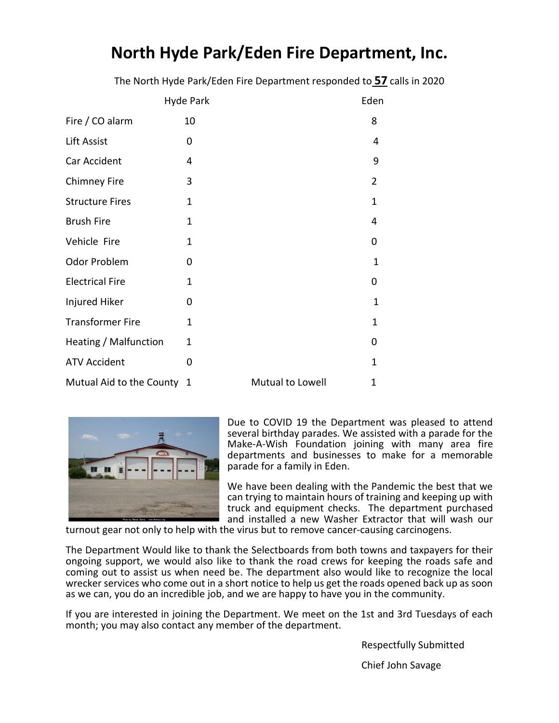# **North Hyde Park/Eden Fire Department, Inc.**

The North Hyde Park/Eden Fire Department responded to **57** calls in 2020

|                            | Hyde Park      |                  | Eden           |
|----------------------------|----------------|------------------|----------------|
| Fire / CO alarm            | 10             |                  | 8              |
| Lift Assist                | 0              |                  | 4              |
| Car Accident               | 4              |                  | 9              |
| <b>Chimney Fire</b>        | 3              |                  | $\overline{2}$ |
| <b>Structure Fires</b>     | $\mathbf{1}$   |                  | $\mathbf{1}$   |
| <b>Brush Fire</b>          | $\overline{1}$ |                  | 4              |
| Vehicle Fire               | 1              |                  | 0              |
| <b>Odor Problem</b>        | 0              |                  | $\mathbf{1}$   |
| <b>Electrical Fire</b>     | $\mathbf 1$    |                  | 0              |
| Injured Hiker              | 0              |                  | $\mathbf{1}$   |
| <b>Transformer Fire</b>    | 1              |                  | 1              |
| Heating / Malfunction      | 1              |                  | 0              |
| <b>ATV Accident</b>        | 0              |                  | $\mathbf{1}$   |
| Mutual Aid to the County 1 |                | Mutual to Lowell | 1              |



Due to COVID 19 the Department was pleased to attend several birthday parades. We assisted with a parade for the Make-A-Wish Foundation joining with many area fire departments and businesses to make for a memorable parade for a family in Eden.

We have been dealing with the Pandemic the best that we can trying to maintain hours of training and keeping up with truck and equipment checks. The department purchased and installed a new Washer Extractor that will wash our

turnout gear not only to help with the virus but to remove cancer-causing carcinogens.

The Department Would like to thank the Selectboards from both towns and taxpayers for their ongoing support, we would also like to thank the road crews for keeping the roads safe and coming out to assist us when need be. The department also would like to recognize the local wrecker services who come out in a short notice to help us get the roads opened back up as soon as we can, you do an incredible job, and we are happy to have you in the community.

If you are interested in joining the Department. We meet on the 1st and 3rd Tuesdays of each month; you may also contact any member of the department.

Respectfully Submitted

Chief John Savage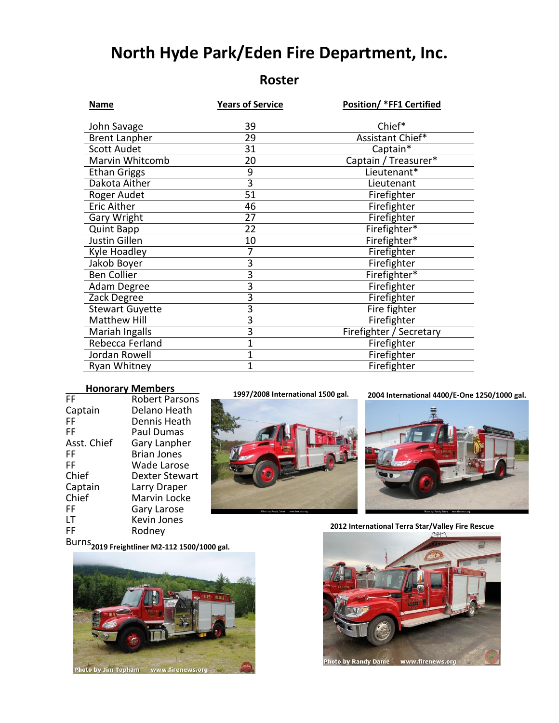# **North Hyde Park/Eden Fire Department, Inc.**

## **Roster**

| Name                   | <b>Position/ *FF1 Certified</b><br><b>Years of Service</b> |                         |
|------------------------|------------------------------------------------------------|-------------------------|
|                        |                                                            |                         |
| John Savage            | 39                                                         | Chief*                  |
| <b>Brent Lanpher</b>   | 29                                                         | Assistant Chief*        |
| <b>Scott Audet</b>     | 31                                                         | Captain*                |
| Marvin Whitcomb        | 20                                                         | Captain / Treasurer*    |
| <b>Ethan Griggs</b>    | 9                                                          | Lieutenant*             |
| Dakota Aither          | $\overline{3}$                                             | Lieutenant              |
| Roger Audet            | 51                                                         | Firefighter             |
| <b>Eric Aither</b>     | 46                                                         | Firefighter             |
| Gary Wright            | 27                                                         | Firefighter             |
| <b>Quint Bapp</b>      | 22                                                         | Firefighter*            |
| Justin Gillen          | 10                                                         | Firefighter*            |
| Kyle Hoadley           | 7                                                          | Firefighter             |
| Jakob Boyer            | 3                                                          | Firefighter             |
| <b>Ben Collier</b>     | 3                                                          | Firefighter*            |
| Adam Degree            | $\overline{3}$                                             | Firefighter             |
| Zack Degree            | 3                                                          | Firefighter             |
| <b>Stewart Guyette</b> | 3                                                          | Fire fighter            |
| <b>Matthew Hill</b>    | 3                                                          | Firefighter             |
| Mariah Ingalls         | $\overline{3}$                                             | Firefighter / Secretary |
| Rebecca Ferland        | 1                                                          | Firefighter             |
| Jordan Rowell          | $\overline{1}$                                             | Firefighter             |
| Ryan Whitney           | $\overline{1}$                                             | Firefighter             |

### **Honorary Members .**

| FF          | <b>Robert Parsons</b> |
|-------------|-----------------------|
| Captain     | Delano Heath          |
| FF          | Dennis Heath          |
| FF          | Paul Dumas            |
| Asst. Chief | Gary Lanpher          |
| FF          | <b>Brian Jones</b>    |
| FF          | Wade Larose           |
| Chief       | Dexter Stewart        |
| Captain     | Larry Draper          |
| Chief       | Marvin Locke          |
| FF          | Gary Larose           |
| ١T          | Kevin Jones           |
| FF          | Rodney                |
|             |                       |



#### **1997/2008 International 1500 gal. 2004 International 4400/E-One 1250/1000 gal.**



#### **2012 International Terra Star/Valley Fire Rescue**

Burns **2019 Freightliner M2-112 1500/1000 gal.**